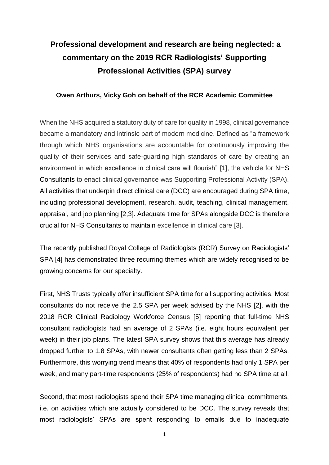## **Professional development and research are being neglected: a commentary on the 2019 RCR Radiologists' Supporting Professional Activities (SPA) survey**

## **Owen Arthurs, Vicky Goh on behalf of the RCR Academic Committee**

When the NHS acquired a statutory duty of care for quality in 1998, clinical governance became a mandatory and intrinsic part of modern medicine. Defined as "a framework through which NHS organisations are accountable for continuously improving the quality of their services and safe-guarding high standards of care by creating an environment in which excellence in clinical care will flourish" [1], the vehicle for NHS Consultants to enact clinical governance was Supporting Professional Activity (SPA). All activities that underpin direct clinical care (DCC) are encouraged during SPA time, including professional development, research, audit, teaching, clinical management, appraisal, and job planning [2,3]. Adequate time for SPAs alongside DCC is therefore crucial for NHS Consultants to maintain excellence in clinical care [3].

The recently published Royal College of Radiologists (RCR) Survey on Radiologists' SPA [4] has demonstrated three recurring themes which are widely recognised to be growing concerns for our specialty.

First, NHS Trusts typically offer insufficient SPA time for all supporting activities. Most consultants do not receive the 2.5 SPA per week advised by the NHS [2], with the 2018 RCR Clinical Radiology Workforce Census [5] reporting that full-time NHS consultant radiologists had an average of 2 SPAs (i.e. eight hours equivalent per week) in their job plans. The latest SPA survey shows that this average has already dropped further to 1.8 SPAs, with newer consultants often getting less than 2 SPAs. Furthermore, this worrying trend means that 40% of respondents had only 1 SPA per week, and many part-time respondents (25% of respondents) had no SPA time at all.

Second, that most radiologists spend their SPA time managing clinical commitments, i.e. on activities which are actually considered to be DCC. The survey reveals that most radiologists' SPAs are spent responding to emails due to inadequate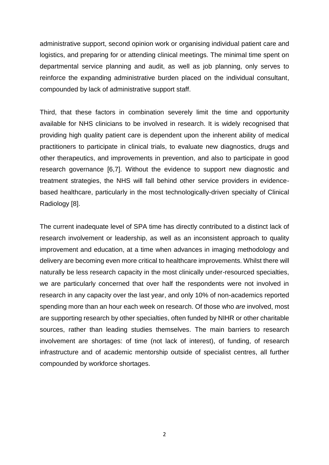administrative support, second opinion work or organising individual patient care and logistics, and preparing for or attending clinical meetings. The minimal time spent on departmental service planning and audit, as well as job planning, only serves to reinforce the expanding administrative burden placed on the individual consultant, compounded by lack of administrative support staff.

Third, that these factors in combination severely limit the time and opportunity available for NHS clinicians to be involved in research. It is widely recognised that providing high quality patient care is dependent upon the inherent ability of medical practitioners to participate in clinical trials, to evaluate new diagnostics, drugs and other therapeutics, and improvements in prevention, and also to participate in good research governance [6,7]. Without the evidence to support new diagnostic and treatment strategies, the NHS will fall behind other service providers in evidencebased healthcare, particularly in the most technologically-driven specialty of Clinical Radiology [8].

The current inadequate level of SPA time has directly contributed to a distinct lack of research involvement or leadership, as well as an inconsistent approach to quality improvement and education, at a time when advances in imaging methodology and delivery are becoming even more critical to healthcare improvements. Whilst there will naturally be less research capacity in the most clinically under-resourced specialties, we are particularly concerned that over half the respondents were not involved in research in any capacity over the last year, and only 10% of non-academics reported spending more than an hour each week on research. Of those who *are* involved, most are supporting research by other specialties, often funded by NIHR or other charitable sources, rather than leading studies themselves. The main barriers to research involvement are shortages: of time (not lack of interest), of funding, of research infrastructure and of academic mentorship outside of specialist centres, all further compounded by workforce shortages.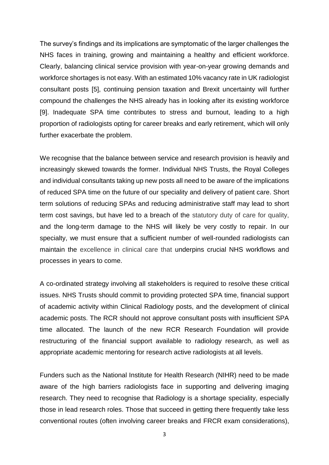The survey's findings and its implications are symptomatic of the larger challenges the NHS faces in training, growing and maintaining a healthy and efficient workforce. Clearly, balancing clinical service provision with year-on-year growing demands and workforce shortages is not easy. With an estimated 10% vacancy rate in UK radiologist consultant posts [5], continuing pension taxation and Brexit uncertainty will further compound the challenges the NHS already has in looking after its existing workforce [9]. Inadequate SPA time contributes to stress and burnout, leading to a high proportion of radiologists opting for career breaks and early retirement, which will only further exacerbate the problem.

We recognise that the balance between service and research provision is heavily and increasingly skewed towards the former. Individual NHS Trusts, the Royal Colleges and individual consultants taking up new posts all need to be aware of the implications of reduced SPA time on the future of our speciality and delivery of patient care. Short term solutions of reducing SPAs and reducing administrative staff may lead to short term cost savings, but have led to a breach of the statutory duty of care for quality, and the long-term damage to the NHS will likely be very costly to repair. In our specialty, we must ensure that a sufficient number of well-rounded radiologists can maintain the excellence in clinical care that underpins crucial NHS workflows and processes in years to come.

A co-ordinated strategy involving all stakeholders is required to resolve these critical issues. NHS Trusts should commit to providing protected SPA time, financial support of academic activity within Clinical Radiology posts, and the development of clinical academic posts. The RCR should not approve consultant posts with insufficient SPA time allocated. The launch of the new RCR Research Foundation will provide restructuring of the financial support available to radiology research, as well as appropriate academic mentoring for research active radiologists at all levels.

Funders such as the National Institute for Health Research (NIHR) need to be made aware of the high barriers radiologists face in supporting and delivering imaging research. They need to recognise that Radiology is a shortage speciality, especially those in lead research roles. Those that succeed in getting there frequently take less conventional routes (often involving career breaks and FRCR exam considerations),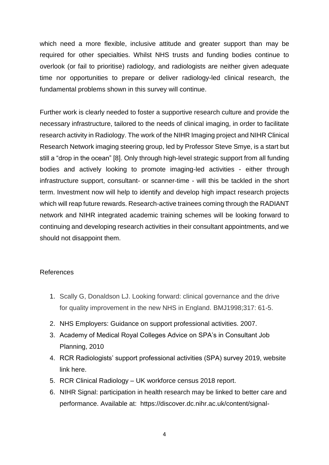which need a more flexible, inclusive attitude and greater support than may be required for other specialties. Whilst NHS trusts and funding bodies continue to overlook (or fail to prioritise) radiology, and radiologists are neither given adequate time nor opportunities to prepare or deliver radiology-led clinical research, the fundamental problems shown in this survey will continue.

Further work is clearly needed to foster a supportive research culture and provide the necessary infrastructure, tailored to the needs of clinical imaging, in order to facilitate research activity in Radiology. The work of the NIHR Imaging project and NIHR Clinical Research Network imaging steering group, led by Professor Steve Smye, is a start but still a "drop in the ocean" [8]. Only through high-level strategic support from all funding bodies and actively looking to promote imaging-led activities - either through infrastructure support, consultant- or scanner-time - will this be tackled in the short term. Investment now will help to identify and develop high impact research projects which will reap future rewards. Research-active trainees coming through the RADIANT network and NIHR integrated academic training schemes will be looking forward to continuing and developing research activities in their consultant appointments, and we should not disappoint them.

## References

- 1. Scally G, Donaldson LJ. Looking forward: clinical governance and the drive for quality improvement in the new NHS in England. BMJ1998;317: 61-5.
- 2. NHS Employers: Guidance on support professional activities. 2007.
- 3. Academy of Medical Royal Colleges Advice on SPA's in Consultant Job Planning, 2010
- 4. RCR Radiologists' support professional activities (SPA) survey 2019, website link here.
- 5. RCR Clinical Radiology UK workforce census 2018 report.
- 6. NIHR Signal: participation in health research may be linked to better care and performance. Available at: https://discover.dc.nihr.ac.uk/content/signal-